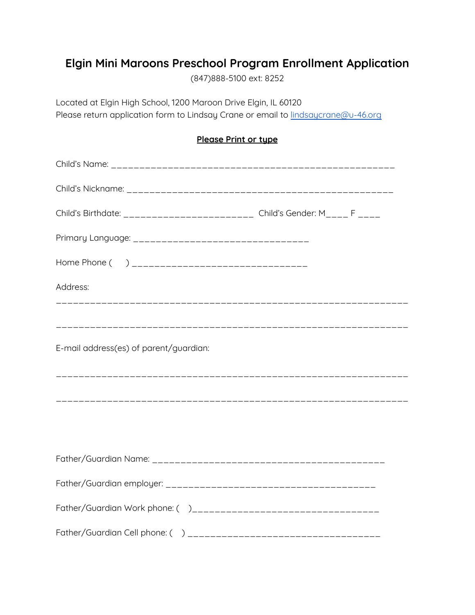## **Elgin Mini Maroons Preschool Program Enrollment Application**

(847)888-5100 ext: 8252

Located at Elgin High School, 1200 Maroon Drive Elgin, IL 60120 Please return application form to Lindsay Crane or email to **[lindsaycrane@u-46.org](mailto:lindsaycrane@u-46.org)** 

## **Please Print or type**

| Child's Birthdate: ________________________ Child's Gender: M____ F ____ |  |
|--------------------------------------------------------------------------|--|
|                                                                          |  |
|                                                                          |  |
| Address:                                                                 |  |
|                                                                          |  |
| E-mail address(es) of parent/guardian:                                   |  |
|                                                                          |  |
|                                                                          |  |
|                                                                          |  |
|                                                                          |  |
|                                                                          |  |
|                                                                          |  |
|                                                                          |  |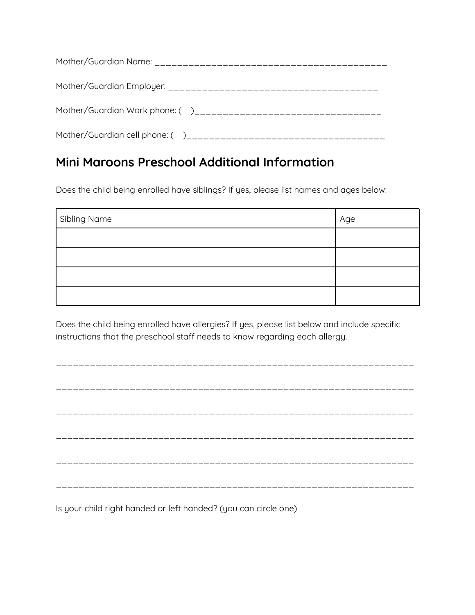## **Mini Maroons Preschool Additional Information**

Does the child being enrolled have siblings? If yes, please list names and ages below:

| Sibling Name | Age |
|--------------|-----|
|              |     |
|              |     |
|              |     |
|              |     |

Does the child being enrolled have allergies? If yes, please list below and include specific instructions that the preschool staff needs to know regarding each allergy.

Is your child right handed or left handed? (you can circle one)